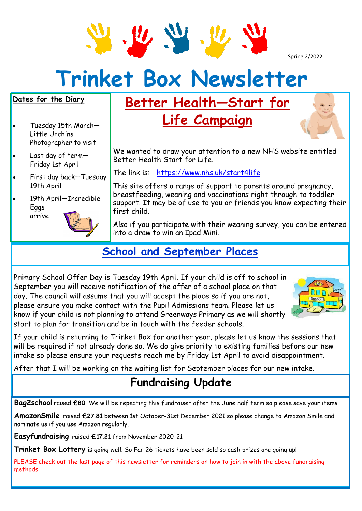Spring 2/2022

# **Trinket Box Newsletter**

V. W. W

#### **Dates for the Diary**

- Tuesday 15th March— Little Urchins Photographer to visit
- Last day of term— Friday 1st April
- First day back—Tuesday 19th April
- 19th April—Incredible Eggs arrive



# **Better Health—Start for Life Campaign**

We wanted to draw your attention to a new NHS website entitled Better Health Start for Life.

The link is: <https://www.nhs.uk/start4life>

This site offers a range of support to parents around pregnancy, breastfeeding, weaning and vaccinations right through to toddler support. It may be of use to you or friends you know expecting their first child.

Also if you participate with their weaning survey, you can be entered into a draw to win an Ipad Mini.

## **School and September Places**

Primary School Offer Day is Tuesday 19th April. If your child is off to school in September you will receive notification of the offer of a school place on that day. The council will assume that you will accept the place so if you are not, please ensure you make contact with the Pupil Admissions team. Please let us know if your child is not planning to attend Greenways Primary as we will shortly start to plan for transition and be in touch with the feeder schools.



If your child is returning to Trinket Box for another year, please let us know the sessions that will be required if not already done so. We do give priority to existing families before our new intake so please ensure your requests reach me by Friday 1st April to avoid disappointment.

After that I will be working on the waiting list for September places for our new intake.

## **Fundraising Update**

**Bag2school** raised **£80**. We will be repeating this fundraiser after the June half term so please save your items!

**AmazonSmile** raised **£27.81** between 1st October-31st December 2021 so please change to Amazon Smile and nominate us if you use Amazon regularly.

**Easyfundraising** raised **£17.21** from November 2020-21

**Trinket Box Lottery** is going well. So Far 26 tickets have been sold so cash prizes are going up!

PLEASE check out the last page of this newsletter for reminders on how to join in with the above fundraising methods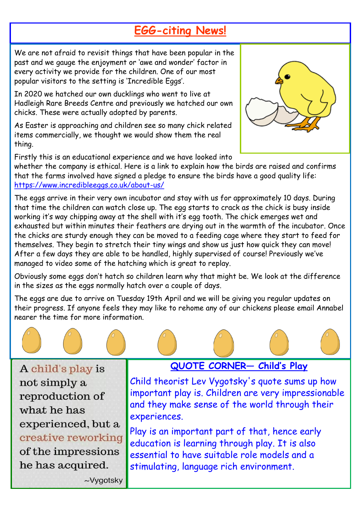## **EGG-citing News!**

We are not afraid to revisit things that have been popular in the past and we gauge the enjoyment or 'awe and wonder' factor in every activity we provide for the children. One of our most popular visitors to the setting is 'Incredible Eggs'.

In 2020 we hatched our own ducklings who went to live at Hadleigh Rare Breeds Centre and previously we hatched our own chicks. These were actually adopted by parents.

As Easter is approaching and children see so many chick related items commercially, we thought we would show them the real thing.



Firstly this is an educational experience and we have looked into

whether the company is ethical. Here is a link to explain how the birds are raised and confirms that the farms involved have signed a pledge to ensure the birds have a good quality life: [https://www.incredibleeggs.co.uk/about](https://www.incredibleeggs.co.uk/about-us/)-us/

The eggs arrive in their very own incubator and stay with us for approximately 10 days. During that time the children can watch close up. The egg starts to crack as the chick is busy inside working it's way chipping away at the shell with it's egg tooth. The chick emerges wet and exhausted but within minutes their feathers are drying out in the warmth of the incubator. Once the chicks are sturdy enough they can be moved to a feeding cage where they start to feed for themselves. They begin to stretch their tiny wings and show us just how quick they can move! After a few days they are able to be handled, highly supervised of course! Previously we've managed to video some of the hatching which is great to replay.

Obviously some eggs don't hatch so children learn why that might be. We look at the difference in the sizes as the eggs normally hatch over a couple of days.

The eggs are due to arrive on Tuesday 19th April and we will be giving you regular updates on their progress. If anyone feels they may like to rehome any of our chickens please email Annabel nearer the time for more information.

A child's play is not simply a reproduction of what he has experienced, but a creative reworking of the impressions he has acquired.

### **QUOTE CORNER— Child's Play**

Child theorist Lev Vygotsky's quote sums up how important play is. Children are very impressionable and they make sense of the world through their experiences.

Play is an important part of that, hence early education is learning through play. It is also essential to have suitable role models and a stimulating, language rich environment.

 $\sim$ Vygotsky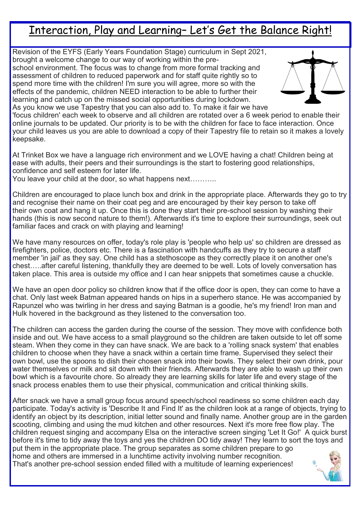## Interaction, Play and Learning– Let's Get the Balance Right!

Revision of the EYFS (Early Years Foundation Stage) curriculum in Sept 2021, brought a welcome change to our way of working within the preschool environment. The focus was to change from more formal tracking and assessment of children to reduced paperwork and for staff quite rightly so to spend more time with the children! I'm sure you will agree, more so with the effects of the pandemic, children NEED interaction to be able to further their learning and catch up on the missed social opportunities during lockdown. As you know we use Tapestry that you can also add to. To make it fair we have



'focus children' each week to observe and all children are rotated over a 6 week period to enable their online journals to be updated. Our priority is to be with the children for face to face interaction. Once your child leaves us you are able to download a copy of their Tapestry file to retain so it makes a lovely keepsake.

At Trinket Box we have a language rich environment and we LOVE having a chat! Children being at ease with adults, their peers and their surroundings is the start to fostering good relationships, confidence and self esteem for later life.

You leave your child at the door, so what happens next………..

Children are encouraged to place lunch box and drink in the appropriate place. Afterwards they go to try and recognise their name on their coat peg and are encouraged by their key person to take off their own coat and hang it up. Once this is done they start their pre-school session by washing their hands (this is now second nature to them!). Afterwards it's time to explore their surroundings, seek out familiar faces and crack on with playing and learning!

We have many resources on offer, today's role play is 'people who help us' so children are dressed as firefighters, police, doctors etc. There is a fascination with handcuffs as they try to secure a staff member 'in jail' as they say. One child has a stethoscope as they correctly place it on another one's chest…..after careful listening, thankfully they are deemed to be well. Lots of lovely conversation has taken place. This area is outside my office and I can hear snippets that sometimes cause a chuckle.

We have an open door policy so children know that if the office door is open, they can come to have a chat. Only last week Batman appeared hands on hips in a superhero stance. He was accompanied by Rapunzel who was twirling in her dress and saying Batman is a goodie, he's my friend! Iron man and Hulk hovered in the background as they listened to the conversation too.

The children can access the garden during the course of the session. They move with confidence both inside and out. We have access to a small playground so the children are taken outside to let off some steam. When they come in they can have snack. We are back to a 'rolling snack system' that enables children to choose when they have a snack within a certain time frame. Supervised they select their own bowl, use the spoons to dish their chosen snack into their bowls. They select their own drink, pour water themselves or milk and sit down with their friends. Afterwards they are able to wash up their own bowl which is a favourite chore. So already they are learning skills for later life and every stage of the snack process enables them to use their physical, communication and critical thinking skills.

After snack we have a small group focus around speech/school readiness so some children each day participate. Today's activity is 'Describe It and Find It' as the children look at a range of objects, trying to identify an object by its description, initial letter sound and finally name. Another group are in the garden scooting, climbing and using the mud kitchen and other resources. Next it's more free flow play. The children request singing and accompany Elsa on the interactive screen singing 'Let It Go!' A quick burst before it's time to tidy away the toys and yes the children DO tidy away! They learn to sort the toys and put them in the appropriate place. The group separates as some children prepare to go home and others are immersed in a lunchtime activity involving number recognition. That's another pre-school session ended filled with a multitude of learning experiences!